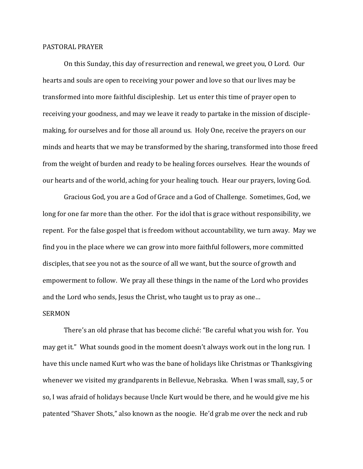## PASTORAL PRAYER

On this Sunday, this day of resurrection and renewal, we greet you, O Lord. Our hearts and souls are open to receiving your power and love so that our lives may be transformed into more faithful discipleship. Let us enter this time of prayer open to receiving your goodness, and may we leave it ready to partake in the mission of disciplemaking, for ourselves and for those all around us. Holy One, receive the prayers on our minds and hearts that we may be transformed by the sharing, transformed into those freed from the weight of burden and ready to be healing forces ourselves. Hear the wounds of our hearts and of the world, aching for your healing touch. Hear our prayers, loving God.

Gracious God, you are a God of Grace and a God of Challenge. Sometimes, God, we long for one far more than the other. For the idol that is grace without responsibility, we repent. For the false gospel that is freedom without accountability, we turn away. May we find you in the place where we can grow into more faithful followers, more committed disciples, that see you not as the source of all we want, but the source of growth and empowerment to follow. We pray all these things in the name of the Lord who provides and the Lord who sends, Jesus the Christ, who taught us to pray as one…

## SERMON

There's an old phrase that has become cliché: "Be careful what you wish for. You may get it." What sounds good in the moment doesn't always work out in the long run. I have this uncle named Kurt who was the bane of holidays like Christmas or Thanksgiving whenever we visited my grandparents in Bellevue, Nebraska. When I was small, say, 5 or so, I was afraid of holidays because Uncle Kurt would be there, and he would give me his patented "Shaver Shots," also known as the noogie. He'd grab me over the neck and rub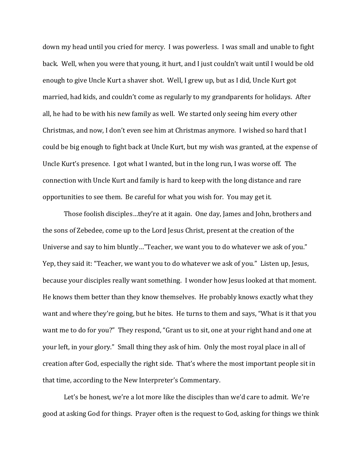down my head until you cried for mercy. I was powerless. I was small and unable to fight back. Well, when you were that young, it hurt, and I just couldn't wait until I would be old enough to give Uncle Kurt a shaver shot. Well, I grew up, but as I did, Uncle Kurt got married, had kids, and couldn't come as regularly to my grandparents for holidays. After all, he had to be with his new family as well. We started only seeing him every other Christmas, and now, I don't even see him at Christmas anymore. I wished so hard that I could be big enough to fight back at Uncle Kurt, but my wish was granted, at the expense of Uncle Kurt's presence. I got what I wanted, but in the long run, I was worse off. The connection with Uncle Kurt and family is hard to keep with the long distance and rare opportunities to see them. Be careful for what you wish for. You may get it.

Those foolish disciples…they're at it again. One day, James and John, brothers and the sons of Zebedee, come up to the Lord Jesus Christ, present at the creation of the Universe and say to him bluntly…"Teacher, we want you to do whatever we ask of you." Yep, they said it: "Teacher, we want you to do whatever we ask of you." Listen up, Jesus, because your disciples really want something. I wonder how Jesus looked at that moment. He knows them better than they know themselves. He probably knows exactly what they want and where they're going, but he bites. He turns to them and says, "What is it that you want me to do for you?" They respond, "Grant us to sit, one at your right hand and one at your left, in your glory." Small thing they ask of him. Only the most royal place in all of creation after God, especially the right side. That's where the most important people sit in that time, according to the New Interpreter's Commentary.

Let's be honest, we're a lot more like the disciples than we'd care to admit. We're good at asking God for things. Prayer often is the request to God, asking for things we think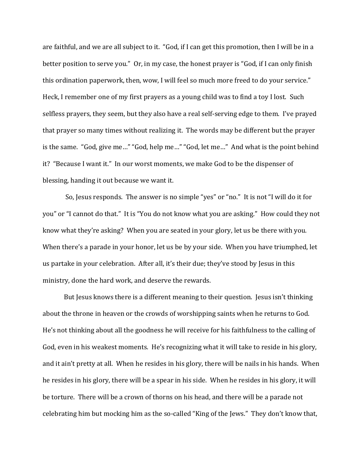are faithful, and we are all subject to it. "God, if I can get this promotion, then I will be in a better position to serve you." Or, in my case, the honest prayer is "God, if I can only finish this ordination paperwork, then, wow, I will feel so much more freed to do your service." Heck, I remember one of my first prayers as a young child was to find a toy I lost. Such selfless prayers, they seem, but they also have a real self-serving edge to them. I've prayed that prayer so many times without realizing it. The words may be different but the prayer is the same. "God, give me…" "God, help me…" "God, let me…" And what is the point behind it? "Because I want it." In our worst moments, we make God to be the dispenser of blessing, handing it out because we want it.

So, Jesus responds. The answer is no simple "yes" or "no." It is not "I will do it for you" or "I cannot do that." It is "You do not know what you are asking." How could they not know what they're asking? When you are seated in your glory, let us be there with you. When there's a parade in your honor, let us be by your side. When you have triumphed, let us partake in your celebration. After all, it's their due; they've stood by Jesus in this ministry, done the hard work, and deserve the rewards.

But Jesus knows there is a different meaning to their question. Jesus isn't thinking about the throne in heaven or the crowds of worshipping saints when he returns to God. He's not thinking about all the goodness he will receive for his faithfulness to the calling of God, even in his weakest moments. He's recognizing what it will take to reside in his glory, and it ain't pretty at all. When he resides in his glory, there will be nails in his hands. When he resides in his glory, there will be a spear in his side. When he resides in his glory, it will be torture. There will be a crown of thorns on his head, and there will be a parade not celebrating him but mocking him as the so-called "King of the Jews." They don't know that,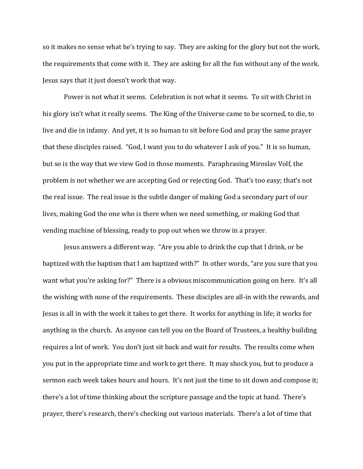so it makes no sense what he's trying to say. They are asking for the glory but not the work, the requirements that come with it. They are asking for all the fun without any of the work. Jesus says that it just doesn't work that way.

Power is not what it seems. Celebration is not what it seems. To sit with Christ in his glory isn't what it really seems. The King of the Universe came to be scorned, to die, to live and die in infamy. And yet, it is so human to sit before God and pray the same prayer that these disciples raised. "God, I want you to do whatever I ask of you." It is so human, but so is the way that we view God in those moments. Paraphrasing Miroslav Volf, the problem is not whether we are accepting God or rejecting God. That's too easy; that's not the real issue. The real issue is the subtle danger of making God a secondary part of our lives, making God the one who is there when we need something, or making God that vending machine of blessing, ready to pop out when we throw in a prayer.

Jesus answers a different way. "Are you able to drink the cup that I drink, or be baptized with the baptism that I am baptized with?" In other words, "are you sure that you want what you're asking for?" There is a obvious miscommunication going on here. It's all the wishing with none of the requirements. These disciples are all-in with the rewards, and Jesus is all in with the work it takes to get there. It works for anything in life; it works for anything in the church. As anyone can tell you on the Board of Trustees, a healthy building requires a lot of work. You don't just sit back and wait for results. The results come when you put in the appropriate time and work to get there. It may shock you, but to produce a sermon each week takes hours and hours. It's not just the time to sit down and compose it; there's a lot of time thinking about the scripture passage and the topic at hand. There's prayer, there's research, there's checking out various materials. There's a lot of time that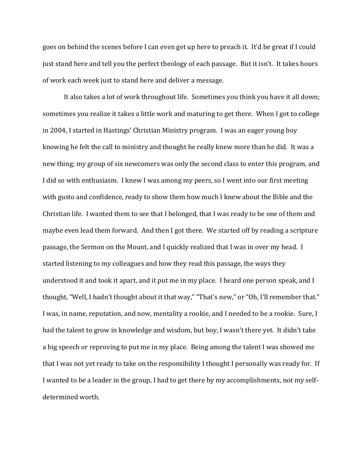goes on behind the scenes before I can even get up here to preach it. It'd be great if I could just stand here and tell you the perfect theology of each passage. But it isn't. It takes hours of work each week just to stand here and deliver a message.

It also takes a lot of work throughout life. Sometimes you think you have it all down; sometimes you realize it takes a little work and maturing to get there. When I got to college in 2004, I started in Hastings' Christian Ministry program. I was an eager young boy knowing he felt the call to ministry and thought he really knew more than he did. It was a new thing; my group of six newcomers was only the second class to enter this program, and I did so with enthusiasm. I knew I was among my peers, so I went into our first meeting with gusto and confidence, ready to show them how much I knew about the Bible and the Christian life. I wanted them to see that I belonged, that I was ready to be one of them and maybe even lead them forward. And then I got there. We started off by reading a scripture passage, the Sermon on the Mount, and I quickly realized that I was in over my head. I started listening to my colleagues and how they read this passage, the ways they understood it and took it apart, and it put me in my place. I heard one person speak, and I thought, "Well, I hadn't thought about it that way," "That's new," or "Oh, I'll remember that." I was, in name, reputation, and now, mentality a rookie, and I needed to be a rookie. Sure, I had the talent to grow in knowledge and wisdom, but boy, I wasn't there yet. It didn't take a big speech or reproving to put me in my place. Being among the talent I was showed me that I was not yet ready to take on the responsibility I thought I personally was ready for. If I wanted to be a leader in the group, I had to get there by my accomplishments, not my selfdetermined worth.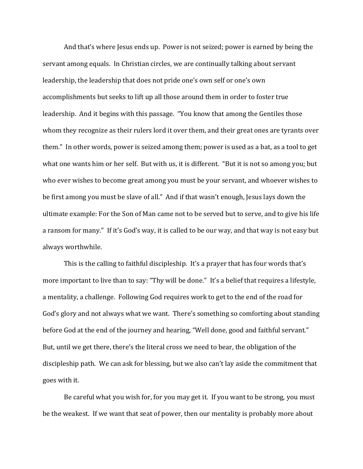And that's where Jesus ends up. Power is not seized; power is earned by being the servant among equals. In Christian circles, we are continually talking about servant leadership, the leadership that does not pride one's own self or one's own accomplishments but seeks to lift up all those around them in order to foster true leadership. And it begins with this passage. "You know that among the Gentiles those whom they recognize as their rulers lord it over them, and their great ones are tyrants over them." In other words, power is seized among them; power is used as a bat, as a tool to get what one wants him or her self. But with us, it is different. "But it is not so among you; but who ever wishes to become great among you must be your servant, and whoever wishes to be first among you must be slave of all." And if that wasn't enough, Jesus lays down the ultimate example: For the Son of Man came not to be served but to serve, and to give his life a ransom for many." If it's God's way, it is called to be our way, and that way is not easy but always worthwhile.

This is the calling to faithful discipleship. It's a prayer that has four words that's more important to live than to say: "Thy will be done." It's a belief that requires a lifestyle, a mentality, a challenge. Following God requires work to get to the end of the road for God's glory and not always what we want. There's something so comforting about standing before God at the end of the journey and hearing, "Well done, good and faithful servant." But, until we get there, there's the literal cross we need to bear, the obligation of the discipleship path. We can ask for blessing, but we also can't lay aside the commitment that goes with it.

Be careful what you wish for, for you may get it. If you want to be strong, you must be the weakest. If we want that seat of power, then our mentality is probably more about